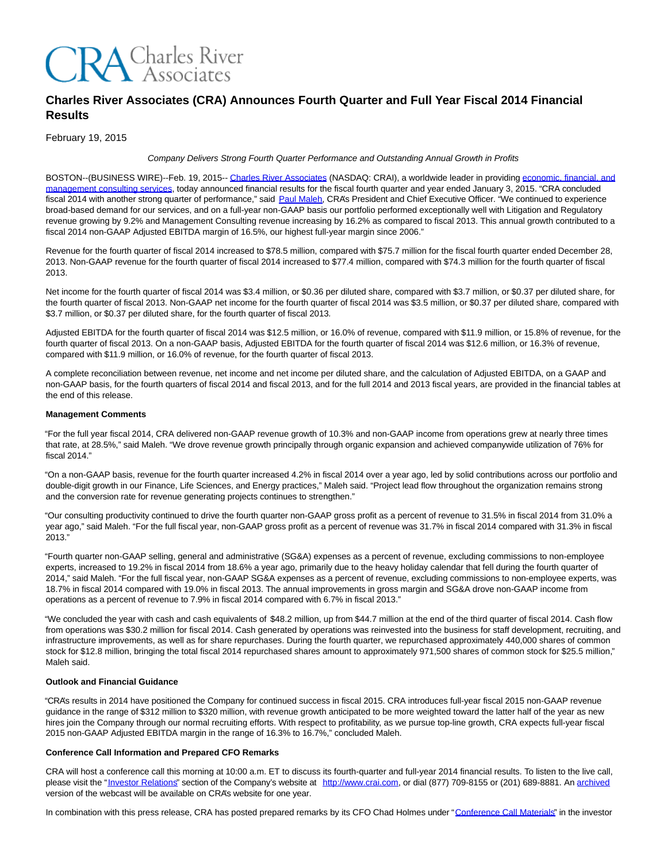

# **Charles River Associates (CRA) Announces Fourth Quarter and Full Year Fiscal 2014 Financial Results**

February 19, 2015

## Company Delivers Strong Fourth Quarter Performance and Outstanding Annual Growth in Profits

BOSTON--(BUSINESS WIRE)--Feb. 19, 2015-[- Charles River Associates \(](http://cts.businesswire.com/ct/CT?id=smartlink&url=http%3A%2F%2Fwww.crai.com%2FDefault.aspx&esheet=51043108&newsitemid=20150219005523&lan=en-US&anchor=Charles+River+Associates&index=1&md5=72d6c4fd6432b9117f8c2c30b596829f)NASDAQ: CRAI), a worldwide leader in providing [economic, financial, and](http://cts.businesswire.com/ct/CT?id=smartlink&url=http%3A%2F%2Fwww.crai.com%2FConsultingExpertise%2FDefaultCustom.aspx&esheet=51043108&newsitemid=20150219005523&lan=en-US&anchor=economic%2C+financial%2C+and+management+consulting+services&index=2&md5=605c47692b79945a5554889c0fd6ec1d) management consulting services, today announced financial results for the fiscal fourth quarter and year ended January 3, 2015. "CRA concluded fiscal 2014 with another strong quarter of performance," said [Paul Maleh,](http://cts.businesswire.com/ct/CT?id=smartlink&url=http%3A%2F%2Fwww.crai.com%2FProfessionalStaff%2Flistingdetails.aspx%3Fid%3D2580&esheet=51043108&newsitemid=20150219005523&lan=en-US&anchor=Paul+Maleh&index=3&md5=790e33597e34db2e1d316d6e42cdbad2) CRA's President and Chief Executive Officer. "We continued to experience broad-based demand for our services, and on a full-year non-GAAP basis our portfolio performed exceptionally well with Litigation and Regulatory revenue growing by 9.2% and Management Consulting revenue increasing by 16.2% as compared to fiscal 2013. This annual growth contributed to a fiscal 2014 non-GAAP Adjusted EBITDA margin of 16.5%, our highest full-year margin since 2006."

Revenue for the fourth quarter of fiscal 2014 increased to \$78.5 million, compared with \$75.7 million for the fiscal fourth quarter ended December 28, 2013. Non-GAAP revenue for the fourth quarter of fiscal 2014 increased to \$77.4 million, compared with \$74.3 million for the fourth quarter of fiscal 2013.

Net income for the fourth quarter of fiscal 2014 was \$3.4 million, or \$0.36 per diluted share, compared with \$3.7 million, or \$0.37 per diluted share, for the fourth quarter of fiscal 2013. Non-GAAP net income for the fourth quarter of fiscal 2014 was \$3.5 million, or \$0.37 per diluted share, compared with \$3.7 million, or \$0.37 per diluted share, for the fourth quarter of fiscal 2013.

Adjusted EBITDA for the fourth quarter of fiscal 2014 was \$12.5 million, or 16.0% of revenue, compared with \$11.9 million, or 15.8% of revenue, for the fourth quarter of fiscal 2013. On a non-GAAP basis, Adjusted EBITDA for the fourth quarter of fiscal 2014 was \$12.6 million, or 16.3% of revenue, compared with \$11.9 million, or 16.0% of revenue, for the fourth quarter of fiscal 2013.

A complete reconciliation between revenue, net income and net income per diluted share, and the calculation of Adjusted EBITDA, on a GAAP and non-GAAP basis, for the fourth quarters of fiscal 2014 and fiscal 2013, and for the full 2014 and 2013 fiscal years, are provided in the financial tables at the end of this release.

## **Management Comments**

"For the full year fiscal 2014, CRA delivered non-GAAP revenue growth of 10.3% and non-GAAP income from operations grew at nearly three times that rate, at 28.5%," said Maleh. "We drove revenue growth principally through organic expansion and achieved companywide utilization of 76% for fiscal 2014."

"On a non-GAAP basis, revenue for the fourth quarter increased 4.2% in fiscal 2014 over a year ago, led by solid contributions across our portfolio and double-digit growth in our Finance, Life Sciences, and Energy practices," Maleh said. "Project lead flow throughout the organization remains strong and the conversion rate for revenue generating projects continues to strengthen."

"Our consulting productivity continued to drive the fourth quarter non-GAAP gross profit as a percent of revenue to 31.5% in fiscal 2014 from 31.0% a year ago," said Maleh. "For the full fiscal year, non-GAAP gross profit as a percent of revenue was 31.7% in fiscal 2014 compared with 31.3% in fiscal 2013."

"Fourth quarter non-GAAP selling, general and administrative (SG&A) expenses as a percent of revenue, excluding commissions to non-employee experts, increased to 19.2% in fiscal 2014 from 18.6% a year ago, primarily due to the heavy holiday calendar that fell during the fourth quarter of 2014," said Maleh. "For the full fiscal year, non-GAAP SG&A expenses as a percent of revenue, excluding commissions to non-employee experts, was 18.7% in fiscal 2014 compared with 19.0% in fiscal 2013. The annual improvements in gross margin and SG&A drove non-GAAP income from operations as a percent of revenue to 7.9% in fiscal 2014 compared with 6.7% in fiscal 2013."

"We concluded the year with cash and cash equivalents of \$48.2 million, up from \$44.7 million at the end of the third quarter of fiscal 2014. Cash flow from operations was \$30.2 million for fiscal 2014. Cash generated by operations was reinvested into the business for staff development, recruiting, and infrastructure improvements, as well as for share repurchases. During the fourth quarter, we repurchased approximately 440,000 shares of common stock for \$12.8 million, bringing the total fiscal 2014 repurchased shares amount to approximately 971,500 shares of common stock for \$25.5 million," Maleh said.

## **Outlook and Financial Guidance**

"CRA's results in 2014 have positioned the Company for continued success in fiscal 2015. CRA introduces full-year fiscal 2015 non-GAAP revenue guidance in the range of \$312 million to \$320 million, with revenue growth anticipated to be more weighted toward the latter half of the year as new hires join the Company through our normal recruiting efforts. With respect to profitability, as we pursue top-line growth, CRA expects full-year fiscal 2015 non-GAAP Adjusted EBITDA margin in the range of 16.3% to 16.7%," concluded Maleh.

## **Conference Call Information and Prepared CFO Remarks**

CRA will host a conference call this morning at 10:00 a.m. ET to discuss its fourth-quarter and full-year 2014 financial results. To listen to the live call, please visit the ["Investor Relations"](http://cts.businesswire.com/ct/CT?id=smartlink&url=http%3A%2F%2Fphx.corporate-ir.net%2Fphoenix.zhtml%3Fc%3D97435%26p%3Dirol-IRHome&esheet=51043108&newsitemid=20150219005523&lan=en-US&anchor=Investor+Relations&index=4&md5=e74e68abe29e0dd0dde9dbda4dba9a23) section of the Company's website at [http://www.crai.com,](http://cts.businesswire.com/ct/CT?id=smartlink&url=http%3A%2F%2Fwww.crai.com%2FDefault.aspx&esheet=51043108&newsitemid=20150219005523&lan=en-US&anchor=http%3A%2F%2Fwww.crai.com&index=5&md5=45d2d3337d6f726d369806d824b637fe) or dial (877) 709-8155 or (201) 689-8881. An [archived](http://cts.businesswire.com/ct/CT?id=smartlink&url=http%3A%2F%2Fphx.corporate-ir.net%2Fphoenix.zhtml%3Fc%3D97435%26p%3Dirol-audioarchives&esheet=51043108&newsitemid=20150219005523&lan=en-US&anchor=archived&index=6&md5=e2601674023d3d1a0958906e35dc34f6) version of the webcast will be available on CRA's website for one year.

In combination with this press release, CRA has posted prepared remarks by its CFO Chad Holmes under ["Conference Call Materials"](http://cts.businesswire.com/ct/CT?id=smartlink&url=http%3A%2F%2Fphx.corporate-ir.net%2Fphoenix.zhtml%3Fc%3D97435%26p%3Dirol-presentations&esheet=51043108&newsitemid=20150219005523&lan=en-US&anchor=Conference+Call+Materials&index=7&md5=2572cd358434c2b782db3664bb3a56f7) in the investor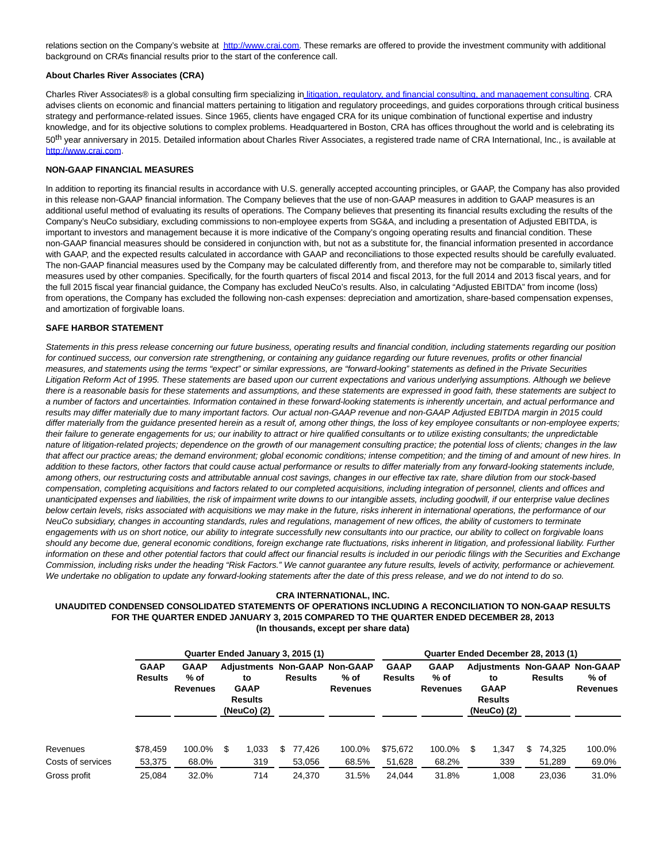relations section on the Company's website at [http://www.crai.com.](http://cts.businesswire.com/ct/CT?id=smartlink&url=http%3A%2F%2Fwww.crai.com%2FDefault.aspx&esheet=51043108&newsitemid=20150219005523&lan=en-US&anchor=http%3A%2F%2Fwww.crai.com&index=8&md5=0708cdbe22698b32d28fd2dfed2b5ca2) These remarks are offered to provide the investment community with additional background on CRA's financial results prior to the start of the conference call.

### **About Charles River Associates (CRA)**

Charles River Associates® is a global consulting firm specializing i[n litigation, regulatory, and financial consulting, and management consulting.](http://cts.businesswire.com/ct/CT?id=smartlink&url=http%3A%2F%2Fwww.crai.com%2FConsultingExpertise%2FDefaultCustom.aspx&esheet=51043108&newsitemid=20150219005523&lan=en-US&anchor=+litigation%2C+regulatory%2C+and+financial+consulting%2C+and+management+consulting&index=9&md5=83172af987e0b77326a281c61f204977) CRA advises clients on economic and financial matters pertaining to litigation and regulatory proceedings, and guides corporations through critical business strategy and performance-related issues. Since 1965, clients have engaged CRA for its unique combination of functional expertise and industry knowledge, and for its objective solutions to complex problems. Headquartered in Boston, CRA has offices throughout the world and is celebrating its 50<sup>th</sup> year anniversary in 2015. Detailed information about Charles River Associates, a registered trade name of CRA International, Inc., is available at [http://www.crai.com.](http://cts.businesswire.com/ct/CT?id=smartlink&url=http%3A%2F%2Fwww.crai.com%2F&esheet=51043108&newsitemid=20150219005523&lan=en-US&anchor=http%3A%2F%2Fwww.crai.com&index=10&md5=c69b0954732185cc704404c74693d932)

#### **NON-GAAP FINANCIAL MEASURES**

In addition to reporting its financial results in accordance with U.S. generally accepted accounting principles, or GAAP, the Company has also provided in this release non-GAAP financial information. The Company believes that the use of non-GAAP measures in addition to GAAP measures is an additional useful method of evaluating its results of operations. The Company believes that presenting its financial results excluding the results of the Company's NeuCo subsidiary, excluding commissions to non-employee experts from SG&A, and including a presentation of Adjusted EBITDA, is important to investors and management because it is more indicative of the Company's ongoing operating results and financial condition. These non-GAAP financial measures should be considered in conjunction with, but not as a substitute for, the financial information presented in accordance with GAAP, and the expected results calculated in accordance with GAAP and reconciliations to those expected results should be carefully evaluated. The non-GAAP financial measures used by the Company may be calculated differently from, and therefore may not be comparable to, similarly titled measures used by other companies. Specifically, for the fourth quarters of fiscal 2014 and fiscal 2013, for the full 2014 and 2013 fiscal years, and for the full 2015 fiscal year financial guidance, the Company has excluded NeuCo's results. Also, in calculating "Adjusted EBITDA" from income (loss) from operations, the Company has excluded the following non-cash expenses: depreciation and amortization, share-based compensation expenses, and amortization of forgivable loans.

#### **SAFE HARBOR STATEMENT**

Statements in this press release concerning our future business, operating results and financial condition, including statements regarding our position for continued success, our conversion rate strengthening, or containing any guidance regarding our future revenues, profits or other financial measures, and statements using the terms "expect" or similar expressions, are "forward-looking" statements as defined in the Private Securities Litigation Reform Act of 1995. These statements are based upon our current expectations and various underlying assumptions. Although we believe there is a reasonable basis for these statements and assumptions, and these statements are expressed in good faith, these statements are subject to a number of factors and uncertainties. Information contained in these forward-looking statements is inherently uncertain, and actual performance and results may differ materially due to many important factors. Our actual non-GAAP revenue and non-GAAP Adjusted EBITDA margin in 2015 could differ materially from the guidance presented herein as a result of, among other things, the loss of key employee consultants or non-employee experts; their failure to generate engagements for us; our inability to attract or hire qualified consultants or to utilize existing consultants; the unpredictable nature of litigation-related projects; dependence on the growth of our management consulting practice; the potential loss of clients; changes in the law that affect our practice areas; the demand environment; global economic conditions; intense competition; and the timing of and amount of new hires. In addition to these factors, other factors that could cause actual performance or results to differ materially from any forward-looking statements include, among others, our restructuring costs and attributable annual cost savings, changes in our effective tax rate, share dilution from our stock-based compensation, completing acquisitions and factors related to our completed acquisitions, including integration of personnel, clients and offices and unanticipated expenses and liabilities, the risk of impairment write downs to our intangible assets, including goodwill, if our enterprise value declines below certain levels, risks associated with acquisitions we may make in the future, risks inherent in international operations, the performance of our NeuCo subsidiary, changes in accounting standards, rules and regulations, management of new offices, the ability of customers to terminate engagements with us on short notice, our ability to integrate successfully new consultants into our practice, our ability to collect on forgivable loans should any become due, general economic conditions, foreign exchange rate fluctuations, risks inherent in litigation, and professional liability. Further information on these and other potential factors that could affect our financial results is included in our periodic filings with the Securities and Exchange Commission, including risks under the heading "Risk Factors." We cannot guarantee any future results, levels of activity, performance or achievement. We undertake no obligation to update any forward-looking statements after the date of this press release, and we do not intend to do so.

#### **CRA INTERNATIONAL, INC.**

## **UNAUDITED CONDENSED CONSOLIDATED STATEMENTS OF OPERATIONS INCLUDING A RECONCILIATION TO NON-GAAP RESULTS FOR THE QUARTER ENDED JANUARY 3, 2015 COMPARED TO THE QUARTER ENDED DECEMBER 28, 2013 (In thousands, except per share data)**

|                   |                               | Quarter Ended January 3, 2015 (1)        |             |                                     | Quarter Ended December 28, 2013 (1) |                |                                                                 |                               |                                        |                                                                                              |       |                |        |                         |
|-------------------|-------------------------------|------------------------------------------|-------------|-------------------------------------|-------------------------------------|----------------|-----------------------------------------------------------------|-------------------------------|----------------------------------------|----------------------------------------------------------------------------------------------|-------|----------------|--------|-------------------------|
|                   | <b>GAAP</b><br><b>Results</b> | <b>GAAP</b><br>$%$ of<br><b>Revenues</b> | <b>GAAP</b> | to<br><b>Results</b><br>(NeuCo) (2) |                                     | <b>Results</b> | <b>Adjustments Non-GAAP Non-GAAP</b><br>% of<br><b>Revenues</b> | <b>GAAP</b><br><b>Results</b> | <b>GAAP</b><br>% of<br><b>Revenues</b> | <b>Adjustments Non-GAAP Non-GAAP</b><br>to<br><b>GAAP</b><br><b>Results</b><br>(NeuCo) $(2)$ |       | <b>Results</b> |        | % of<br><b>Revenues</b> |
| Revenues          | \$78,459                      | 100.0%                                   | S           | 1.033                               | S.                                  | 77,426         | 100.0%                                                          | \$75,672                      | 100.0%                                 | S                                                                                            | 1.347 | S.             | 74,325 | 100.0%                  |
| Costs of services | 53,375                        | 68.0%                                    |             | 319                                 |                                     | 53,056         | 68.5%                                                           | 51,628                        | 68.2%                                  |                                                                                              | 339   |                | 51,289 | 69.0%                   |
| Gross profit      | 25,084                        | 32.0%                                    |             | 714                                 |                                     | 24.370         | 31.5%                                                           | 24.044                        | 31.8%                                  |                                                                                              | 1.008 |                | 23.036 | 31.0%                   |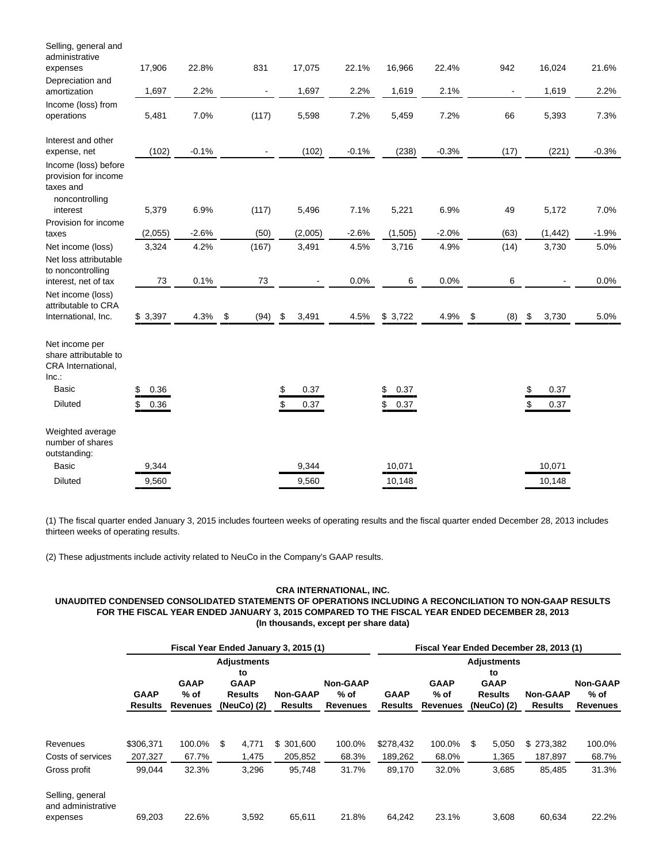| Selling, general and<br>administrative                                                  |            |         |            |                |         |         |            |         |                                       |            |         |
|-----------------------------------------------------------------------------------------|------------|---------|------------|----------------|---------|---------|------------|---------|---------------------------------------|------------|---------|
| expenses                                                                                | 17,906     | 22.8%   | 831        |                | 17,075  | 22.1%   | 16,966     | 22.4%   | 942                                   | 16,024     | 21.6%   |
| Depreciation and<br>amortization                                                        | 1,697      | 2.2%    |            | $\blacksquare$ | 1,697   | 2.2%    | 1,619      | 2.1%    |                                       | 1,619      | 2.2%    |
| Income (loss) from<br>operations                                                        | 5,481      | 7.0%    | (117)      |                | 5,598   | 7.2%    | 5,459      | 7.2%    | 66                                    | 5,393      | 7.3%    |
| Interest and other<br>expense, net                                                      | (102)      | $-0.1%$ |            | $\blacksquare$ | (102)   | $-0.1%$ | (238)      | $-0.3%$ | (17)                                  | (221)      | $-0.3%$ |
| Income (loss) before<br>provision for income<br>taxes and<br>noncontrolling<br>interest | 5,379      | 6.9%    | (117)      |                | 5,496   | 7.1%    | 5,221      | 6.9%    | 49                                    | 5,172      | 7.0%    |
| Provision for income                                                                    |            |         |            |                |         |         |            |         |                                       |            |         |
| taxes                                                                                   | (2,055)    | $-2.6%$ | (50)       |                | (2,005) | $-2.6%$ | (1, 505)   | $-2.0%$ | (63)                                  | (1, 442)   | $-1.9%$ |
| Net income (loss)                                                                       | 3,324      | 4.2%    | (167)      |                | 3,491   | 4.5%    | 3,716      | 4.9%    | (14)                                  | 3,730      | 5.0%    |
| Net loss attributable<br>to noncontrolling                                              |            |         |            |                |         |         |            |         |                                       |            |         |
| interest, net of tax                                                                    | 73         | 0.1%    | 73         |                |         | 0.0%    | 6          | 0.0%    | 6                                     |            | 0.0%    |
| Net income (loss)<br>attributable to CRA<br>International, Inc.                         | \$3,397    | 4.3%    | \$<br>(94) | \$             | 3,491   | 4.5%    | \$3,722    | 4.9%    | $\boldsymbol{\mathsf{S}}$<br>$(8)$ \$ | 3,730      | 5.0%    |
| Net income per<br>share attributable to<br>CRA International,<br>Inc.                   |            |         |            |                |         |         |            |         |                                       |            |         |
| <b>Basic</b>                                                                            | \$<br>0.36 |         |            | \$             | 0.37    |         | \$<br>0.37 |         |                                       | \$<br>0.37 |         |
| <b>Diluted</b>                                                                          | \$<br>0.36 |         |            | \$             | 0.37    |         | 0.37<br>\$ |         |                                       | \$<br>0.37 |         |
| Weighted average<br>number of shares<br>outstanding:                                    |            |         |            |                |         |         |            |         |                                       |            |         |
| <b>Basic</b>                                                                            | 9,344      |         |            |                | 9,344   |         | 10,071     |         |                                       | 10,071     |         |
| <b>Diluted</b>                                                                          | 9,560      |         |            |                | 9,560   |         | 10,148     |         |                                       | 10,148     |         |

(1) The fiscal quarter ended January 3, 2015 includes fourteen weeks of operating results and the fiscal quarter ended December 28, 2013 includes thirteen weeks of operating results.

(2) These adjustments include activity related to NeuCo in the Company's GAAP results.

## **CRA INTERNATIONAL, INC.**

**UNAUDITED CONDENSED CONSOLIDATED STATEMENTS OF OPERATIONS INCLUDING A RECONCILIATION TO NON-GAAP RESULTS FOR THE FISCAL YEAR ENDED JANUARY 3, 2015 COMPARED TO THE FISCAL YEAR ENDED DECEMBER 28, 2013 (In thousands, except per share data)**

|                                                    |                               |                                          | Fiscal Year Ended January 3, 2015 (1)                                      |                                   |                                            |                               |                                          | Fiscal Year Ended December 28, 2013 (1)                                  |                                   | <b>Non-GAAP</b><br>% of<br><b>Revenues</b> |  |  |  |  |  |  |  |
|----------------------------------------------------|-------------------------------|------------------------------------------|----------------------------------------------------------------------------|-----------------------------------|--------------------------------------------|-------------------------------|------------------------------------------|--------------------------------------------------------------------------|-----------------------------------|--------------------------------------------|--|--|--|--|--|--|--|
|                                                    | <b>GAAP</b><br><b>Results</b> | <b>GAAP</b><br>$%$ of<br><b>Revenues</b> | <b>Adjustments</b><br>to<br><b>GAAP</b><br><b>Results</b><br>(NeuCo) $(2)$ | <b>Non-GAAP</b><br><b>Results</b> | <b>Non-GAAP</b><br>% of<br><b>Revenues</b> | <b>GAAP</b><br><b>Results</b> | <b>GAAP</b><br>$%$ of<br><b>Revenues</b> | <b>Adjustments</b><br>to<br><b>GAAP</b><br><b>Results</b><br>(NeuCo) (2) | <b>Non-GAAP</b><br><b>Results</b> |                                            |  |  |  |  |  |  |  |
|                                                    |                               |                                          |                                                                            |                                   |                                            |                               |                                          |                                                                          |                                   |                                            |  |  |  |  |  |  |  |
| Revenues                                           | \$306.371                     | 100.0%                                   | \$<br>4,771                                                                | \$ 301,600                        | 100.0%                                     | \$278.432                     | 100.0%                                   | 5,050<br>S                                                               | \$273,382                         | 100.0%                                     |  |  |  |  |  |  |  |
| Costs of services                                  | 207,327                       | 67.7%                                    | 1,475                                                                      | 205,852                           | 68.3%                                      | 189,262                       | 68.0%                                    | 1,365                                                                    | 187,897                           | 68.7%                                      |  |  |  |  |  |  |  |
| Gross profit                                       | 99,044                        | 32.3%                                    | 3,296                                                                      | 95,748                            | 31.7%                                      | 89,170                        | 32.0%                                    | 3,685                                                                    | 85,485                            | 31.3%                                      |  |  |  |  |  |  |  |
| Selling, general<br>and administrative<br>expenses | 69,203                        | 22.6%                                    | 3,592                                                                      | 65,611                            | 21.8%                                      | 64,242                        | 23.1%                                    | 3,608                                                                    | 60,634                            | 22.2%                                      |  |  |  |  |  |  |  |
|                                                    |                               |                                          |                                                                            |                                   |                                            |                               |                                          |                                                                          |                                   |                                            |  |  |  |  |  |  |  |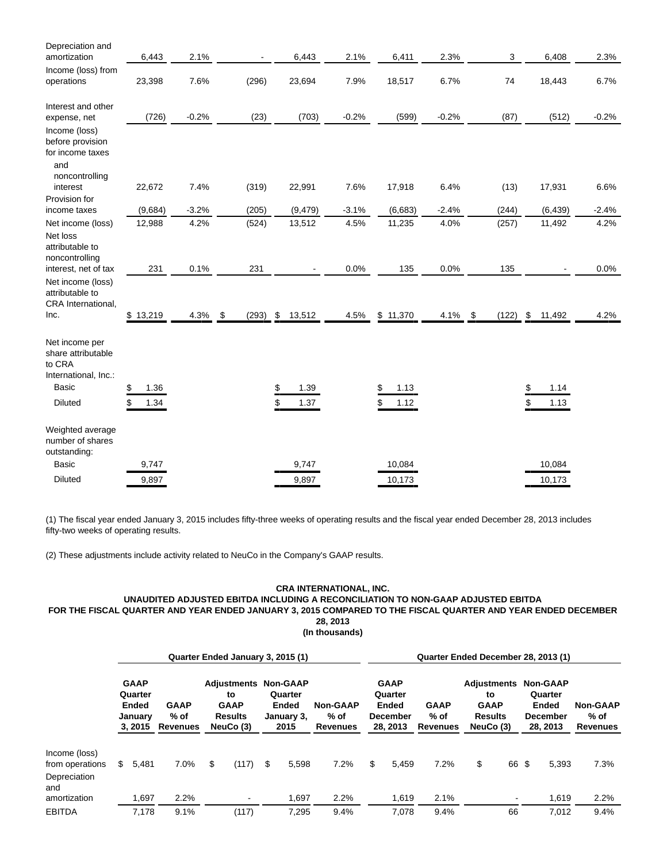| Depreciation and<br>amortization                                                           | 6,443           | 2.1%         |                         | 6,443      | 2.1%         | 6,411           | 2.3%            | 3                 | 6,408                    | 2.3%         |
|--------------------------------------------------------------------------------------------|-----------------|--------------|-------------------------|------------|--------------|-----------------|-----------------|-------------------|--------------------------|--------------|
| Income (loss) from<br>operations                                                           | 23,398          | 7.6%         | (296)                   | 23,694     | 7.9%         | 18,517          | 6.7%            | 74                | 18,443                   | 6.7%         |
| Interest and other<br>expense, net                                                         | (726)           | $-0.2%$      | (23)                    | (703)      | $-0.2%$      | (599)           | $-0.2%$         | (87)              | (512)                    | $-0.2%$      |
| Income (loss)<br>before provision<br>for income taxes<br>and                               |                 |              |                         |            |              |                 |                 |                   |                          |              |
| noncontrolling<br>interest<br>Provision for                                                | 22,672          | 7.4%         | (319)                   | 22,991     | 7.6%         | 17,918          | 6.4%            | (13)              | 17,931                   | 6.6%         |
| income taxes                                                                               | (9,684)         | $-3.2%$      | (205)                   | (9, 479)   | $-3.1%$      | (6,683)         | $-2.4%$         | (244)             | (6, 439)                 | $-2.4%$      |
| Net income (loss)<br>Net loss<br>attributable to<br>noncontrolling                         | 12,988          | 4.2%         | (524)                   | 13,512     | 4.5%         | 11,235          | 4.0%            | (257)             | 11,492                   | 4.2%         |
| interest, net of tax<br>Net income (loss)<br>attributable to<br>CRA International,<br>Inc. | 231<br>\$13,219 | 0.1%<br>4.3% | 231<br>$(293)$ \$<br>\$ | 13,512     | 0.0%<br>4.5% | 135<br>\$11,370 | 0.0%<br>4.1% \$ | 135<br>$(122)$ \$ | $\blacksquare$<br>11,492 | 0.0%<br>4.2% |
| Net income per<br>share attributable<br>to CRA<br>International, Inc.:                     |                 |              |                         |            |              |                 |                 |                   |                          |              |
| <b>Basic</b>                                                                               | \$<br>1.36      |              |                         | \$<br>1.39 |              | 1.13            |                 |                   | \$<br>1.14               |              |
| <b>Diluted</b>                                                                             | \$<br>1.34      |              |                         | \$<br>1.37 |              | 1.12<br>\$      |                 |                   | \$<br>1.13               |              |
| Weighted average<br>number of shares<br>outstanding:                                       |                 |              |                         |            |              |                 |                 |                   |                          |              |
| <b>Basic</b>                                                                               | 9,747           |              |                         | 9,747      |              | 10,084          |                 |                   | 10,084                   |              |
| <b>Diluted</b>                                                                             | 9,897           |              |                         | 9,897      |              | 10,173          |                 |                   | 10,173                   |              |

(1) The fiscal year ended January 3, 2015 includes fifty-three weeks of operating results and the fiscal year ended December 28, 2013 includes fifty-two weeks of operating results.

(2) These adjustments include activity related to NeuCo in the Company's GAAP results.

## **CRA INTERNATIONAL, INC. UNAUDITED ADJUSTED EBITDA INCLUDING A RECONCILIATION TO NON-GAAP ADJUSTED EBITDA FOR THE FISCAL QUARTER AND YEAR ENDED JANUARY 3, 2015 COMPARED TO THE FISCAL QUARTER AND YEAR ENDED DECEMBER 28, 2013**

**(In thousands)**

|                                                         |                                                       |                                        | Quarter Ended January 3, 2015 (1)                                               |                                               |                                              | Quarter Ended December 28, 2013 (1) |                                                                       |                                          |                                                                 |    |    |                                                                           |                                     |
|---------------------------------------------------------|-------------------------------------------------------|----------------------------------------|---------------------------------------------------------------------------------|-----------------------------------------------|----------------------------------------------|-------------------------------------|-----------------------------------------------------------------------|------------------------------------------|-----------------------------------------------------------------|----|----|---------------------------------------------------------------------------|-------------------------------------|
|                                                         | <b>GAAP</b><br>Quarter<br>Ended<br>January<br>3, 2015 | <b>GAAP</b><br>% of<br><b>Revenues</b> | <b>Adjustments Non-GAAP</b><br>to<br><b>GAAP</b><br><b>Results</b><br>NeuCo (3) | Quarter<br><b>Ended</b><br>January 3,<br>2015 | <b>Non-GAAP</b><br>$%$ of<br><b>Revenues</b> |                                     | <b>GAAP</b><br>Quarter<br><b>Ended</b><br><b>December</b><br>28, 2013 | <b>GAAP</b><br>$%$ of<br><b>Revenues</b> | Adjustments<br>to<br><b>GAAP</b><br><b>Results</b><br>NeuCo (3) |    |    | <b>Non-GAAP</b><br>Quarter<br><b>Ended</b><br><b>December</b><br>28, 2013 | <b>Non-GAAP</b><br>% of<br>Revenues |
| Income (loss)<br>from operations<br>Depreciation<br>and | \$<br>5,481                                           | 7.0%                                   | \$<br>(117)                                                                     | \$<br>5,598                                   | 7.2%                                         | \$                                  | 5.459                                                                 | 7.2%                                     | \$                                                              | 66 | \$ | 5,393                                                                     | 7.3%                                |
| amortization<br><b>EBITDA</b>                           | .697<br>7.178                                         | 2.2%<br>9.1%                           | (117)                                                                           | 1,697<br>7,295                                | 2.2%<br>9.4%                                 |                                     | 1,619<br>7.078                                                        | 2.1%<br>9.4%                             |                                                                 | 66 |    | 1,619<br>7,012                                                            | 2.2%<br>9.4%                        |
|                                                         |                                                       |                                        |                                                                                 |                                               |                                              |                                     |                                                                       |                                          |                                                                 |    |    |                                                                           |                                     |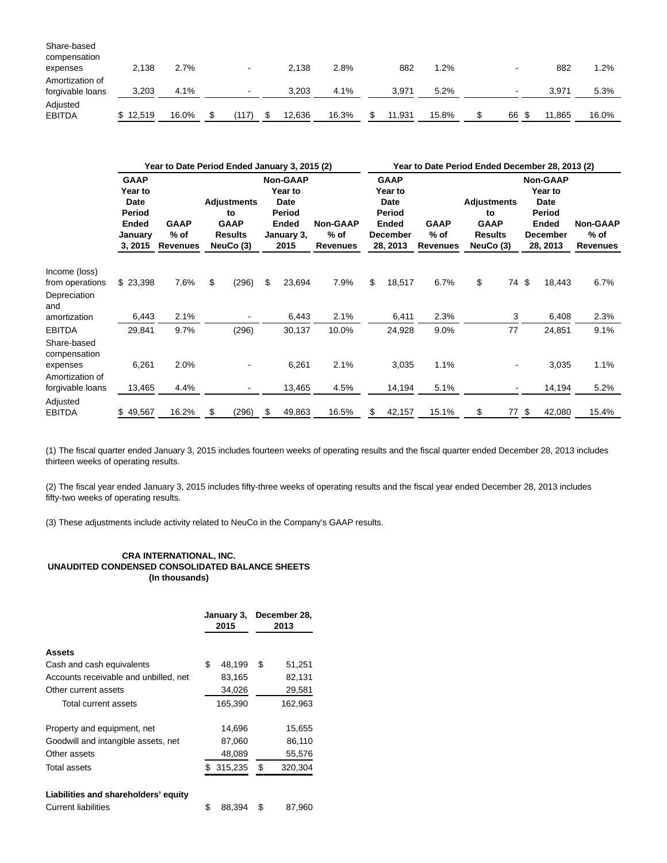| Share-based<br>compensation         |          |       |                          |        |       |        |       |                          |       |         |
|-------------------------------------|----------|-------|--------------------------|--------|-------|--------|-------|--------------------------|-------|---------|
| expenses                            | 2,138    | 2.7%  | $\overline{\phantom{0}}$ | 2.138  | 2.8%  | 882    | 1.2%  |                          | 882   | $1.2\%$ |
| Amortization of<br>forgivable loans | 3,203    | 4.1%  | $\blacksquare$           | 3.203  | 4.1%  | 3.971  | 5.2%  | $\overline{\phantom{a}}$ | 3.971 | 5.3%    |
| Adjusted<br><b>EBITDA</b>           | \$12,519 | 16.0% | (117)                    | 12,636 | 16.3% | 11,931 | 15.8% | \$<br>66 \$              | .865  | 16.0%   |

|                                              |                                                                         | Year to Date Period Ended January 3, 2015 (2) |                                                                        |    |                                                                             |                                            | Year to Date Period Ended December 28, 2013 (2) |                                                                                  |                                          |                                                                        |    |    |                                                                                             |                                            |
|----------------------------------------------|-------------------------------------------------------------------------|-----------------------------------------------|------------------------------------------------------------------------|----|-----------------------------------------------------------------------------|--------------------------------------------|-------------------------------------------------|----------------------------------------------------------------------------------|------------------------------------------|------------------------------------------------------------------------|----|----|---------------------------------------------------------------------------------------------|--------------------------------------------|
|                                              | <b>GAAP</b><br>Year to<br>Date<br>Period<br>Ended<br>January<br>3, 2015 | <b>GAAP</b><br>% of<br><b>Revenues</b>        | <b>Adjustments</b><br>to<br><b>GAAP</b><br><b>Results</b><br>NeuCo (3) |    | <b>Non-GAAP</b><br>Year to<br>Date<br>Period<br>Ended<br>January 3,<br>2015 | <b>Non-GAAP</b><br>% of<br><b>Revenues</b> |                                                 | <b>GAAP</b><br>Year to<br>Date<br>Period<br>Ended<br><b>December</b><br>28, 2013 | <b>GAAP</b><br>$%$ of<br><b>Revenues</b> | <b>Adjustments</b><br>to<br><b>GAAP</b><br><b>Results</b><br>NeuCo (3) |    |    | <b>Non-GAAP</b><br>Year to<br>Date<br>Period<br><b>Ended</b><br><b>December</b><br>28, 2013 | <b>Non-GAAP</b><br>% of<br><b>Revenues</b> |
| Income (loss)<br>from operations             | \$23,398                                                                | 7.6%                                          | \$<br>(296)                                                            | \$ | 23,694                                                                      | 7.9%                                       | \$                                              | 18,517                                                                           | 6.7%                                     | \$                                                                     | 74 | \$ | 18,443                                                                                      | 6.7%                                       |
| Depreciation<br>and                          |                                                                         |                                               |                                                                        |    |                                                                             |                                            |                                                 |                                                                                  |                                          |                                                                        |    |    |                                                                                             |                                            |
| amortization                                 | 6,443                                                                   | 2.1%                                          |                                                                        |    | 6,443                                                                       | 2.1%                                       |                                                 | 6,411                                                                            | 2.3%                                     |                                                                        | 3  |    | 6,408                                                                                       | 2.3%                                       |
| <b>EBITDA</b><br>Share-based<br>compensation | 29,841                                                                  | 9.7%                                          | (296)                                                                  |    | 30,137                                                                      | 10.0%                                      |                                                 | 24,928                                                                           | 9.0%                                     |                                                                        | 77 |    | 24,851                                                                                      | 9.1%                                       |
| expenses<br>Amortization of                  | 6,261                                                                   | 2.0%                                          |                                                                        |    | 6,261                                                                       | 2.1%                                       |                                                 | 3,035                                                                            | 1.1%                                     |                                                                        |    |    | 3,035                                                                                       | 1.1%                                       |
| forgivable loans                             | 13,465                                                                  | 4.4%                                          |                                                                        |    | 13,465                                                                      | 4.5%                                       |                                                 | 14,194                                                                           | 5.1%                                     |                                                                        |    |    | 14,194                                                                                      | 5.2%                                       |
| Adjusted<br><b>EBITDA</b>                    | 49,567<br>\$.                                                           | 16.2%                                         | \$<br>(296)                                                            | S  | 49,863                                                                      | 16.5%                                      | \$                                              | 42,157                                                                           | 15.1%                                    | \$                                                                     | 77 | \$ | 42,080                                                                                      | 15.4%                                      |

(1) The fiscal quarter ended January 3, 2015 includes fourteen weeks of operating results and the fiscal quarter ended December 28, 2013 includes thirteen weeks of operating results.

(2) The fiscal year ended January 3, 2015 includes fifty-three weeks of operating results and the fiscal year ended December 28, 2013 includes fifty-two weeks of operating results.

(3) These adjustments include activity related to NeuCo in the Company's GAAP results.

## **CRA INTERNATIONAL, INC. UNAUDITED CONDENSED CONSOLIDATED BALANCE SHEETS (In thousands)**

|                                       |     | January 3,<br>2015 | December 28,<br>2013 |
|---------------------------------------|-----|--------------------|----------------------|
| Assets                                |     |                    |                      |
| Cash and cash equivalents             | \$  | 48,199             | \$<br>51,251         |
| Accounts receivable and unbilled, net |     | 83,165             | 82,131               |
| Other current assets                  |     | 34,026             | 29,581               |
| Total current assets                  |     | 165,390            | 162,963              |
| Property and equipment, net           |     | 14,696             | 15,655               |
| Goodwill and intangible assets, net   |     | 87,060             | 86,110               |
| Other assets                          |     | 48,089             | 55,576               |
| Total assets                          | \$. | 315,235            | \$<br>320,304        |
| Liabilities and shareholders' equity  |     |                    |                      |
| <b>Current liabilities</b>            | \$  | 88.394             | \$<br>87,960         |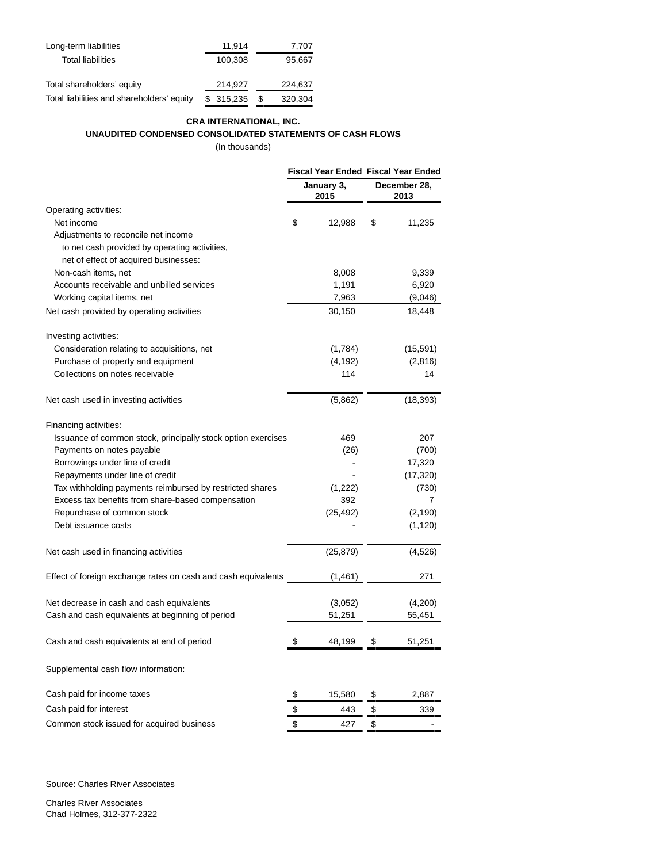| Long-term liabilities                      | 11,914    |   | 7,707   |
|--------------------------------------------|-----------|---|---------|
| <b>Total liabilities</b>                   | 100.308   |   | 95,667  |
|                                            |           |   |         |
| Total shareholders' equity                 | 214,927   |   | 224,637 |
| Total liabilities and shareholders' equity | \$315,235 | S | 320,304 |

# **CRA INTERNATIONAL, INC. UNAUDITED CONDENSED CONSOLIDATED STATEMENTS OF CASH FLOWS**

(In thousands)

|                                                               |                    | Fiscal Year Ended Fiscal Year Ended |           |  |
|---------------------------------------------------------------|--------------------|-------------------------------------|-----------|--|
|                                                               | January 3,<br>2015 | December 28,<br>2013                |           |  |
| Operating activities:                                         |                    |                                     |           |  |
| Net income                                                    | \$<br>12,988       | \$                                  | 11,235    |  |
| Adjustments to reconcile net income                           |                    |                                     |           |  |
| to net cash provided by operating activities,                 |                    |                                     |           |  |
| net of effect of acquired businesses:                         |                    |                                     |           |  |
| Non-cash items, net                                           | 8,008              |                                     | 9,339     |  |
| Accounts receivable and unbilled services                     | 1,191              |                                     | 6,920     |  |
| Working capital items, net                                    | 7,963              |                                     | (9,046)   |  |
| Net cash provided by operating activities                     | 30,150             |                                     | 18,448    |  |
| Investing activities:                                         |                    |                                     |           |  |
| Consideration relating to acquisitions, net                   | (1,784)            |                                     | (15,591)  |  |
| Purchase of property and equipment                            | (4, 192)           |                                     | (2,816)   |  |
| Collections on notes receivable                               | 114                |                                     | 14        |  |
| Net cash used in investing activities                         | (5,862)            |                                     | (18, 393) |  |
| Financing activities:                                         |                    |                                     |           |  |
| Issuance of common stock, principally stock option exercises  | 469                |                                     | 207       |  |
| Payments on notes payable                                     | (26)               |                                     | (700)     |  |
| Borrowings under line of credit                               |                    |                                     | 17,320    |  |
| Repayments under line of credit                               |                    |                                     | (17, 320) |  |
| Tax withholding payments reimbursed by restricted shares      | (1,222)            |                                     | (730)     |  |
| Excess tax benefits from share-based compensation             | 392                |                                     | 7         |  |
| Repurchase of common stock                                    | (25, 492)          |                                     | (2, 190)  |  |
| Debt issuance costs                                           |                    |                                     | (1, 120)  |  |
| Net cash used in financing activities                         | (25, 879)          |                                     | (4, 526)  |  |
| Effect of foreign exchange rates on cash and cash equivalents | (1,461)            |                                     | 271       |  |
| Net decrease in cash and cash equivalents                     | (3,052)            |                                     | (4,200)   |  |
| Cash and cash equivalents at beginning of period              | 51,251             |                                     | 55,451    |  |
| Cash and cash equivalents at end of period                    | \$<br>48,199       | \$                                  | 51,251    |  |
| Supplemental cash flow information:                           |                    |                                     |           |  |
| Cash paid for income taxes                                    | \$<br>15,580       | \$                                  | 2,887     |  |
| Cash paid for interest                                        | \$<br>443          | \$                                  | 339       |  |
| Common stock issued for acquired business                     | \$<br>427          | \$                                  |           |  |
|                                                               |                    |                                     |           |  |

Source: Charles River Associates

Charles River Associates Chad Holmes, 312-377-2322